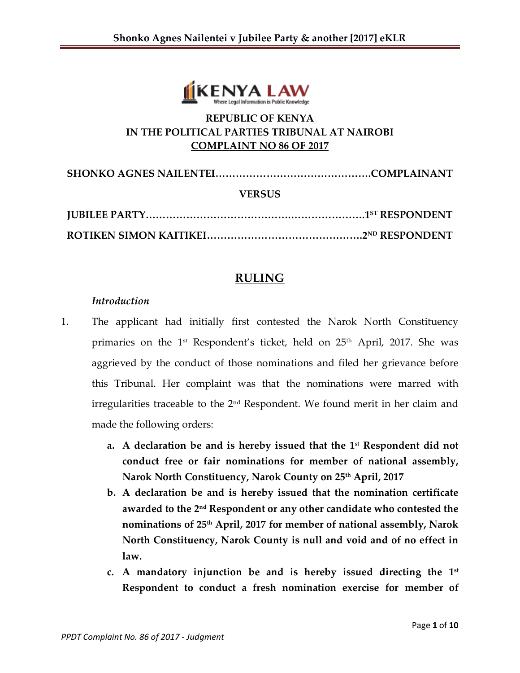

# **REPUBLIC OF KENYA IN THE POLITICAL PARTIES TRIBUNAL AT NAIROBI COMPLAINT NO 86 OF 2017**

| <b>VERSUS</b> |  |
|---------------|--|
|               |  |
|               |  |

# **RULING**

#### *Introduction*

- 1. The applicant had initially first contested the Narok North Constituency primaries on the 1<sup>st</sup> Respondent's ticket, held on 25<sup>th</sup> April, 2017. She was aggrieved by the conduct of those nominations and filed her grievance before this Tribunal. Her complaint was that the nominations were marred with irregularities traceable to the 2nd Respondent. We found merit in her claim and made the following orders:
	- **a. A declaration be and is hereby issued that the 1st Respondent did not conduct free or fair nominations for member of national assembly, Narok North Constituency, Narok County on 25th April, 2017**
	- **b. A declaration be and is hereby issued that the nomination certificate awarded to the 2nd Respondent or any other candidate who contested the nominations of 25th April, 2017 for member of national assembly, Narok North Constituency, Narok County is null and void and of no effect in law.**
	- **c. A mandatory injunction be and is hereby issued directing the 1 st Respondent to conduct a fresh nomination exercise for member of**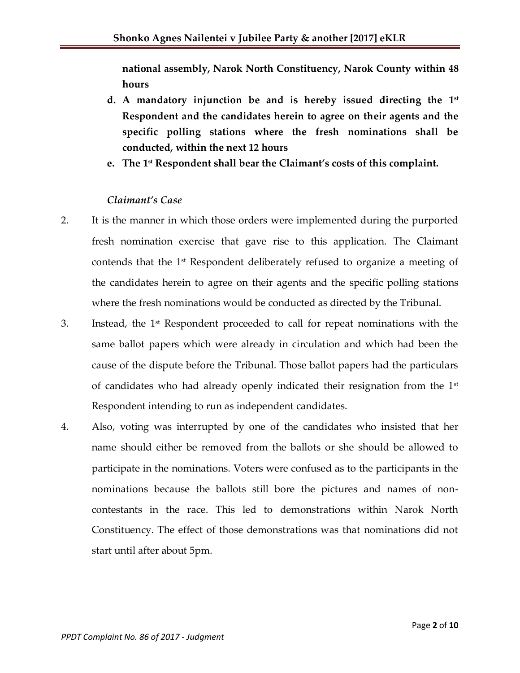**national assembly, Narok North Constituency, Narok County within 48 hours**

- **d. A mandatory injunction be and is hereby issued directing the 1 st Respondent and the candidates herein to agree on their agents and the specific polling stations where the fresh nominations shall be conducted, within the next 12 hours**
- **e. The 1st Respondent shall bear the Claimant's costs of this complaint.**

#### *Claimant's Case*

- 2. It is the manner in which those orders were implemented during the purported fresh nomination exercise that gave rise to this application. The Claimant contends that the 1st Respondent deliberately refused to organize a meeting of the candidates herein to agree on their agents and the specific polling stations where the fresh nominations would be conducted as directed by the Tribunal.
- 3. Instead, the 1st Respondent proceeded to call for repeat nominations with the same ballot papers which were already in circulation and which had been the cause of the dispute before the Tribunal. Those ballot papers had the particulars of candidates who had already openly indicated their resignation from the  $1<sup>st</sup>$ Respondent intending to run as independent candidates.
- 4. Also, voting was interrupted by one of the candidates who insisted that her name should either be removed from the ballots or she should be allowed to participate in the nominations. Voters were confused as to the participants in the nominations because the ballots still bore the pictures and names of noncontestants in the race. This led to demonstrations within Narok North Constituency. The effect of those demonstrations was that nominations did not start until after about 5pm.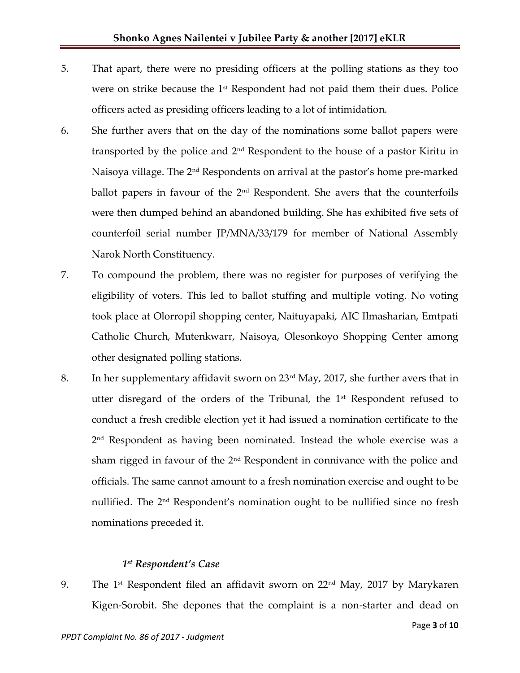- 5. That apart, there were no presiding officers at the polling stations as they too were on strike because the 1<sup>st</sup> Respondent had not paid them their dues. Police officers acted as presiding officers leading to a lot of intimidation.
- 6. She further avers that on the day of the nominations some ballot papers were transported by the police and 2nd Respondent to the house of a pastor Kiritu in Naisoya village. The 2nd Respondents on arrival at the pastor's home pre-marked ballot papers in favour of the 2<sup>nd</sup> Respondent. She avers that the counterfoils were then dumped behind an abandoned building. She has exhibited five sets of counterfoil serial number JP/MNA/33/179 for member of National Assembly Narok North Constituency.
- 7. To compound the problem, there was no register for purposes of verifying the eligibility of voters. This led to ballot stuffing and multiple voting. No voting took place at Olorropil shopping center, Naituyapaki, AIC Ilmasharian, Emtpati Catholic Church, Mutenkwarr, Naisoya, Olesonkoyo Shopping Center among other designated polling stations.
- 8. In her supplementary affidavit sworn on 23<sup>rd</sup> May, 2017, she further avers that in utter disregard of the orders of the Tribunal, the  $1<sup>st</sup>$  Respondent refused to conduct a fresh credible election yet it had issued a nomination certificate to the 2 nd Respondent as having been nominated. Instead the whole exercise was a sham rigged in favour of the 2<sup>nd</sup> Respondent in connivance with the police and officials. The same cannot amount to a fresh nomination exercise and ought to be nullified. The 2<sup>nd</sup> Respondent's nomination ought to be nullified since no fresh nominations preceded it.

# *1 st Respondent's Case*

9. The 1<sup>st</sup> Respondent filed an affidavit sworn on  $22<sup>nd</sup>$  May, 2017 by Marykaren Kigen-Sorobit. She depones that the complaint is a non-starter and dead on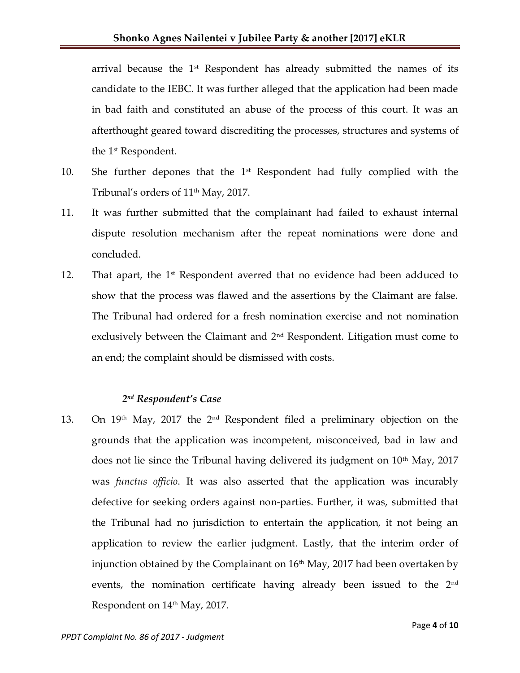arrival because the 1<sup>st</sup> Respondent has already submitted the names of its candidate to the IEBC. It was further alleged that the application had been made in bad faith and constituted an abuse of the process of this court. It was an afterthought geared toward discrediting the processes, structures and systems of the 1st Respondent.

- 10. She further depones that the  $1<sup>st</sup>$  Respondent had fully complied with the Tribunal's orders of 11<sup>th</sup> May, 2017.
- 11. It was further submitted that the complainant had failed to exhaust internal dispute resolution mechanism after the repeat nominations were done and concluded.
- 12. That apart, the  $1<sup>st</sup>$  Respondent averred that no evidence had been adduced to show that the process was flawed and the assertions by the Claimant are false. The Tribunal had ordered for a fresh nomination exercise and not nomination exclusively between the Claimant and 2nd Respondent. Litigation must come to an end; the complaint should be dismissed with costs.

#### *2 nd Respondent's Case*

13. On 19th May, 2017 the 2nd Respondent filed a preliminary objection on the grounds that the application was incompetent, misconceived, bad in law and does not lie since the Tribunal having delivered its judgment on 10<sup>th</sup> May, 2017 was *functus officio*. It was also asserted that the application was incurably defective for seeking orders against non-parties. Further, it was, submitted that the Tribunal had no jurisdiction to entertain the application, it not being an application to review the earlier judgment. Lastly, that the interim order of injunction obtained by the Complainant on  $16<sup>th</sup>$  May, 2017 had been overtaken by events, the nomination certificate having already been issued to the 2<sup>nd</sup> Respondent on 14<sup>th</sup> May, 2017.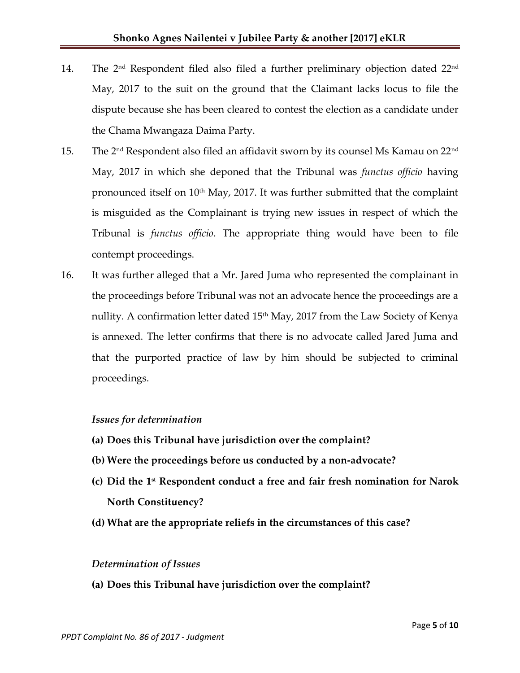- 14. The 2 $^{\rm nd}$  Respondent filed also filed a further preliminary objection dated 22 $^{\rm nd}$ May, 2017 to the suit on the ground that the Claimant lacks locus to file the dispute because she has been cleared to contest the election as a candidate under the Chama Mwangaza Daima Party.
- 15. The 2nd Respondent also filed an affidavit sworn by its counsel Ms Kamau on 22nd May, 2017 in which she deponed that the Tribunal was *functus officio* having pronounced itself on  $10<sup>th</sup>$  May, 2017. It was further submitted that the complaint is misguided as the Complainant is trying new issues in respect of which the Tribunal is *functus officio*. The appropriate thing would have been to file contempt proceedings.
- 16. It was further alleged that a Mr. Jared Juma who represented the complainant in the proceedings before Tribunal was not an advocate hence the proceedings are a nullity. A confirmation letter dated  $15<sup>th</sup>$  May, 2017 from the Law Society of Kenya is annexed. The letter confirms that there is no advocate called Jared Juma and that the purported practice of law by him should be subjected to criminal proceedings.

# *Issues for determination*

- **(a) Does this Tribunal have jurisdiction over the complaint?**
- **(b) Were the proceedings before us conducted by a non-advocate?**
- **(c) Did the 1st Respondent conduct a free and fair fresh nomination for Narok North Constituency?**
- **(d) What are the appropriate reliefs in the circumstances of this case?**

#### *Determination of Issues*

**(a) Does this Tribunal have jurisdiction over the complaint?**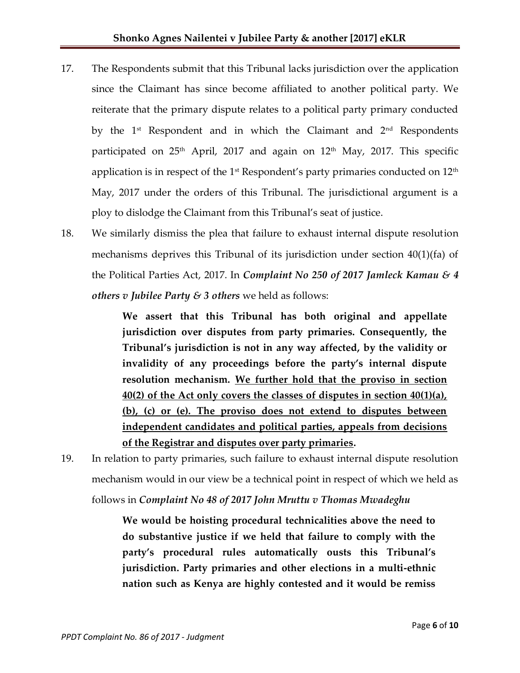- 17. The Respondents submit that this Tribunal lacks jurisdiction over the application since the Claimant has since become affiliated to another political party. We reiterate that the primary dispute relates to a political party primary conducted by the  $1^{st}$  Respondent and in which the Claimant and  $2^{nd}$  Respondents participated on  $25<sup>th</sup>$  April, 2017 and again on  $12<sup>th</sup>$  May, 2017. This specific application is in respect of the  $1<sup>st</sup>$  Respondent's party primaries conducted on  $12<sup>th</sup>$ May, 2017 under the orders of this Tribunal. The jurisdictional argument is a ploy to dislodge the Claimant from this Tribunal's seat of justice.
- 18. We similarly dismiss the plea that failure to exhaust internal dispute resolution mechanisms deprives this Tribunal of its jurisdiction under section 40(1)(fa) of the Political Parties Act, 2017. In *Complaint No 250 of 2017 Jamleck Kamau & 4 others v Jubilee Party & 3 others* we held as follows:

**We assert that this Tribunal has both original and appellate jurisdiction over disputes from party primaries. Consequently, the Tribunal's jurisdiction is not in any way affected, by the validity or invalidity of any proceedings before the party's internal dispute resolution mechanism. We further hold that the proviso in section 40(2) of the Act only covers the classes of disputes in section 40(1)(a), (b), (c) or (e). The proviso does not extend to disputes between independent candidates and political parties, appeals from decisions of the Registrar and disputes over party primaries.** 

19. In relation to party primaries, such failure to exhaust internal dispute resolution mechanism would in our view be a technical point in respect of which we held as follows in *Complaint No 48 of 2017 John Mruttu v Thomas Mwadeghu*

> **We would be hoisting procedural technicalities above the need to do substantive justice if we held that failure to comply with the party's procedural rules automatically ousts this Tribunal's jurisdiction. Party primaries and other elections in a multi-ethnic nation such as Kenya are highly contested and it would be remiss**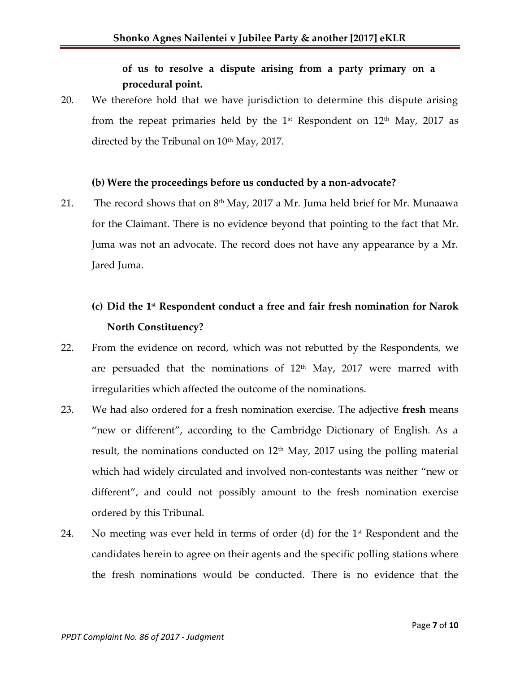# **of us to resolve a dispute arising from a party primary on a procedural point.**

20. We therefore hold that we have jurisdiction to determine this dispute arising from the repeat primaries held by the  $1<sup>st</sup>$  Respondent on  $12<sup>th</sup>$  May, 2017 as directed by the Tribunal on  $10^{th}$  May, 2017.

#### **(b) Were the proceedings before us conducted by a non-advocate?**

21. The record shows that on  $8<sup>th</sup>$  May, 2017 a Mr. Juma held brief for Mr. Munaawa for the Claimant. There is no evidence beyond that pointing to the fact that Mr. Juma was not an advocate. The record does not have any appearance by a Mr. Jared Juma.

# **(c) Did the 1st Respondent conduct a free and fair fresh nomination for Narok North Constituency?**

- 22. From the evidence on record, which was not rebutted by the Respondents, we are persuaded that the nominations of  $12<sup>th</sup>$  May, 2017 were marred with irregularities which affected the outcome of the nominations.
- 23. We had also ordered for a fresh nomination exercise. The adjective **fresh** means "new or different", according to the Cambridge Dictionary of English. As a result, the nominations conducted on  $12<sup>th</sup>$  May, 2017 using the polling material which had widely circulated and involved non-contestants was neither "new or different", and could not possibly amount to the fresh nomination exercise ordered by this Tribunal.
- 24. No meeting was ever held in terms of order (d) for the  $1<sup>st</sup>$  Respondent and the candidates herein to agree on their agents and the specific polling stations where the fresh nominations would be conducted. There is no evidence that the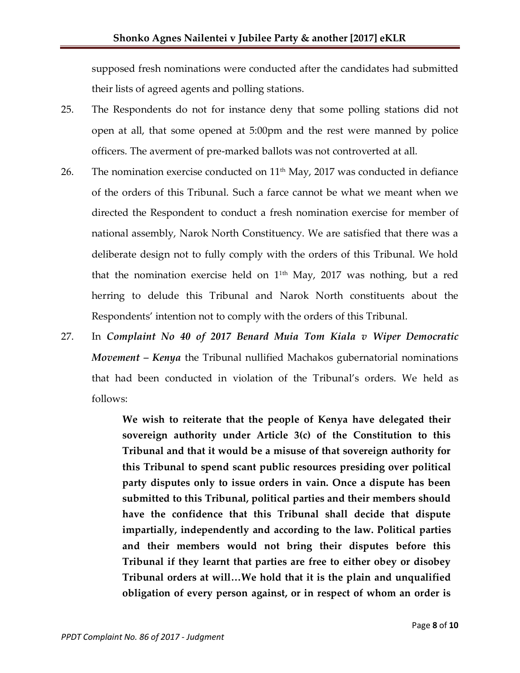supposed fresh nominations were conducted after the candidates had submitted their lists of agreed agents and polling stations.

- 25. The Respondents do not for instance deny that some polling stations did not open at all, that some opened at 5:00pm and the rest were manned by police officers. The averment of pre-marked ballots was not controverted at all.
- 26. The nomination exercise conducted on  $11<sup>th</sup>$  May, 2017 was conducted in defiance of the orders of this Tribunal. Such a farce cannot be what we meant when we directed the Respondent to conduct a fresh nomination exercise for member of national assembly, Narok North Constituency. We are satisfied that there was a deliberate design not to fully comply with the orders of this Tribunal. We hold that the nomination exercise held on 1 1th May, 2017 was nothing, but a red herring to delude this Tribunal and Narok North constituents about the Respondents' intention not to comply with the orders of this Tribunal.
- 27. In *Complaint No 40 of 2017 Benard Muia Tom Kiala v Wiper Democratic Movement – Kenya* the Tribunal nullified Machakos gubernatorial nominations that had been conducted in violation of the Tribunal's orders. We held as follows:

**We wish to reiterate that the people of Kenya have delegated their sovereign authority under Article 3(c) of the Constitution to this Tribunal and that it would be a misuse of that sovereign authority for this Tribunal to spend scant public resources presiding over political party disputes only to issue orders in vain. Once a dispute has been submitted to this Tribunal, political parties and their members should have the confidence that this Tribunal shall decide that dispute impartially, independently and according to the law. Political parties and their members would not bring their disputes before this Tribunal if they learnt that parties are free to either obey or disobey Tribunal orders at will…We hold that it is the plain and unqualified obligation of every person against, or in respect of whom an order is**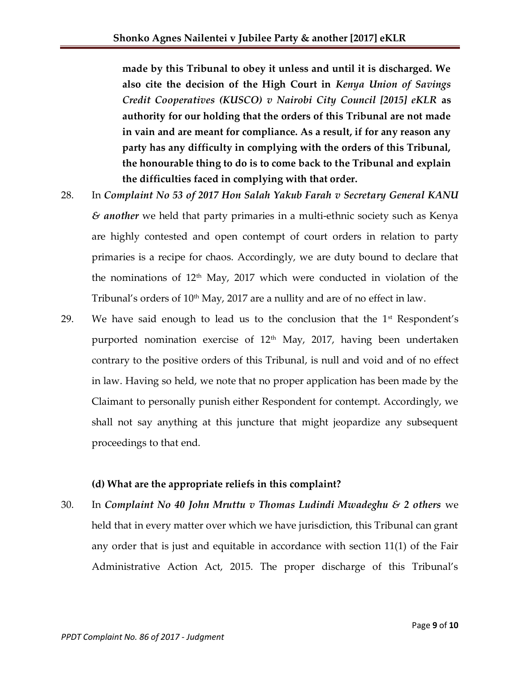**made by this Tribunal to obey it unless and until it is discharged. We also cite the decision of the High Court in** *Kenya Union of Savings Credit Cooperatives (KUSCO) v Nairobi City Council [2015] eKLR* **as authority for our holding that the orders of this Tribunal are not made in vain and are meant for compliance. As a result, if for any reason any party has any difficulty in complying with the orders of this Tribunal, the honourable thing to do is to come back to the Tribunal and explain the difficulties faced in complying with that order.** 

- 28. In *Complaint No 53 of 2017 Hon Salah Yakub Farah v Secretary General KANU & another* we held that party primaries in a multi-ethnic society such as Kenya are highly contested and open contempt of court orders in relation to party primaries is a recipe for chaos. Accordingly, we are duty bound to declare that the nominations of  $12<sup>th</sup>$  May,  $2017$  which were conducted in violation of the Tribunal's orders of  $10<sup>th</sup>$  May, 2017 are a nullity and are of no effect in law.
- 29. We have said enough to lead us to the conclusion that the  $1<sup>st</sup>$  Respondent's purported nomination exercise of 12<sup>th</sup> May, 2017, having been undertaken contrary to the positive orders of this Tribunal, is null and void and of no effect in law. Having so held, we note that no proper application has been made by the Claimant to personally punish either Respondent for contempt. Accordingly, we shall not say anything at this juncture that might jeopardize any subsequent proceedings to that end.

# **(d) What are the appropriate reliefs in this complaint?**

30. In *Complaint No 40 John Mruttu v Thomas Ludindi Mwadeghu & 2 others* we held that in every matter over which we have jurisdiction, this Tribunal can grant any order that is just and equitable in accordance with section 11(1) of the Fair Administrative Action Act, 2015. The proper discharge of this Tribunal's